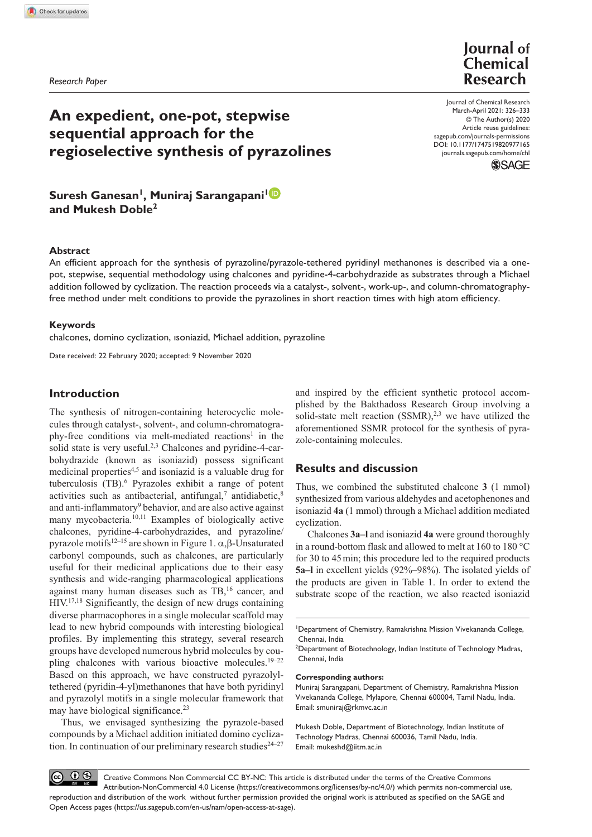*Research Paper*

**Journal** of Chemical **Research** 

# **An expedient, one-pot, stepwise sequential approach for the regioselective synthesis of pyrazolines**

# **Suresh Ganesan<sup>1</sup> , Muniraj Sarangapani<sup>1</sup> and Mukesh Doble<sup>2</sup>**

#### **Abstract**

An efficient approach for the synthesis of pyrazoline/pyrazole-tethered pyridinyl methanones is described via a onepot, stepwise, sequential methodology using chalcones and pyridine-4-carbohydrazide as substrates through a Michael addition followed by cyclization. The reaction proceeds via a catalyst-, solvent-, work-up-, and column-chromatographyfree method under melt conditions to provide the pyrazolines in short reaction times with high atom efficiency.

#### **Keywords**

chalcones, domino cyclization, ısoniazid, Michael addition, pyrazoline

Date received: 22 February 2020; accepted: 9 November 2020

## **Introduction**

The synthesis of nitrogen-containing heterocyclic molecules through catalyst-, solvent-, and column-chromatography-free conditions via melt-mediated reactions<sup>1</sup> in the solid state is very useful.<sup>2,3</sup> Chalcones and pyridine-4-carbohydrazide (known as isoniazid) possess significant medicinal properties<sup>4,5</sup> and isoniazid is a valuable drug for tuberculosis (TB).<sup>6</sup> Pyrazoles exhibit a range of potent activities such as antibacterial, antifungal, $^7$  antidiabetic, $^8$ and anti-inflammatory<sup>9</sup> behavior, and are also active against many mycobacteria.<sup>10,11</sup> Examples of biologically active chalcones, pyridine-4-carbohydrazides, and pyrazoline/ pyrazole motifs12–15 are shown in Figure 1. α,β-Unsaturated carbonyl compounds, such as chalcones, are particularly useful for their medicinal applications due to their easy synthesis and wide-ranging pharmacological applications against many human diseases such as TB,<sup>16</sup> cancer, and HIV.17,18 Significantly, the design of new drugs containing diverse pharmacophores in a single molecular scaffold may lead to new hybrid compounds with interesting biological profiles. By implementing this strategy, several research groups have developed numerous hybrid molecules by coupling chalcones with various bioactive molecules.<sup>19-22</sup> Based on this approach, we have constructed pyrazolyltethered (pyridin-4-yl)methanones that have both pyridinyl and pyrazolyl motifs in a single molecular framework that may have biological significance.<sup>23</sup>

Thus, we envisaged synthesizing the pyrazole-based compounds by a Michael addition initiated domino cyclization. In continuation of our preliminary research studies $24-27$ 

and inspired by the efficient synthetic protocol accomplished by the Bakthadoss Research Group involving a solid-state melt reaction  $(SSMR)$ <sup>2,3</sup> we have utilized the aforementioned SSMR protocol for the synthesis of pyrazole-containing molecules.

## **Results and discussion**

Thus, we combined the substituted chalcone **3** (1 mmol) synthesized from various aldehydes and acetophenones and isoniazid **4a** (1 mmol) through a Michael addition mediated cyclization.

Chalcones **3a–l** and isoniazid **4a** were ground thoroughly in a round-bottom flask and allowed to melt at 160 to 180 °C for 30 to 45 min; this procedure led to the required products **5a–l** in excellent yields (92%–98%). The isolated yields of the products are given in Table 1. In order to extend the substrate scope of the reaction, we also reacted isoniazid

**Corresponding authors:**

Muniraj Sarangapani, Department of Chemistry, Ramakrishna Mission Vivekananda College, Mylapore, Chennai 600004, Tamil Nadu, India. Email: smuniraj@rkmvc.ac.in

Mukesh Doble, Department of Biotechnology, Indian Institute of Technology Madras, Chennai 600036, Tamil Nadu, India. Email: mukeshd@iitm.ac.in

 $\circledcirc$   $\circledcirc$ Creative Commons Non Commercial CC BY-NC: This article is distributed under the terms of the Creative Commons Attribution-NonCommercial 4.0 License (https://creativecommons.org/licenses/by-nc/4.0/) which permits non-commercial use, reproduction and distribution of the work without further permission provided the original work is attributed as specified on the SAGE and Open Access pages (https://us.sagepub.com/en-us/nam/open-access-at-sage).

DOI: 10.1177/1747519820977165 Journal of Chemical Research March-April 2021: 326-333 © The Author(s) 2020 Article reuse guidelines: sagepub.com/journals-permissions journals.sagepub.com/home/chl

**SSAGE** 

<sup>1</sup> Department of Chemistry, Ramakrishna Mission Vivekananda College, Chennai, India

<sup>&</sup>lt;sup>2</sup>Department of Biotechnology, Indian Institute of Technology Madras, Chennai, India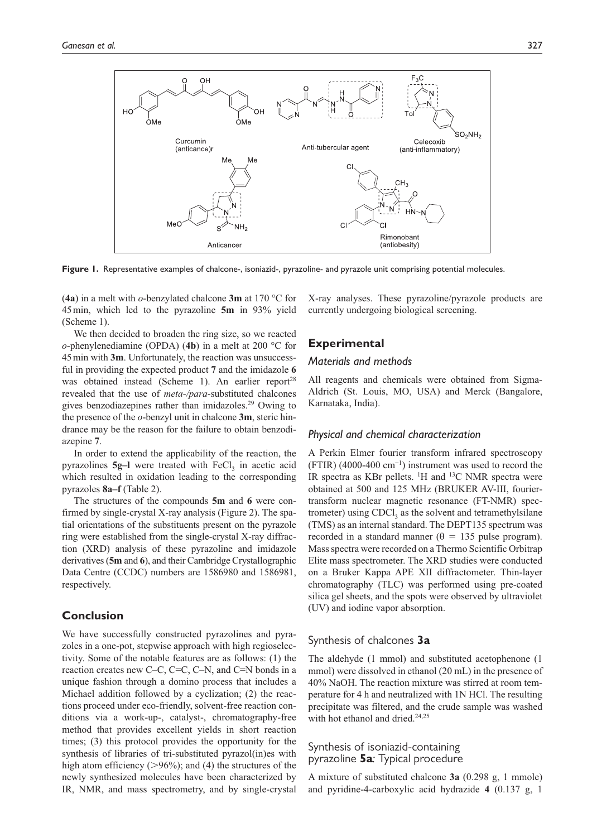

**Figure 1.** Representative examples of chalcone-, isoniazid-, pyrazoline- and pyrazole unit comprising potential molecules.

(**4a**) in a melt with *o*-benzylated chalcone **3m** at 170 °C for 45 min, which led to the pyrazoline **5m** in 93% yield (Scheme 1).

We then decided to broaden the ring size, so we reacted *o*-phenylenediamine (OPDA) (**4b**) in a melt at 200 °C for 45 min with **3m**. Unfortunately, the reaction was unsuccessful in providing the expected product **7** and the imidazole **6** was obtained instead (Scheme 1). An earlier report<sup>28</sup> revealed that the use of *meta-/para*-substituted chalcones gives benzodiazepines rather than imidazoles.<sup>29</sup> Owing to the presence of the *o*-benzyl unit in chalcone **3m**, steric hindrance may be the reason for the failure to obtain benzodiazepine **7**.

In order to extend the applicability of the reaction, the pyrazolines **5g-l** were treated with FeCl<sub>3</sub> in acetic acid which resulted in oxidation leading to the corresponding pyrazoles **8a–f** (Table 2).

The structures of the compounds **5m** and **6** were confirmed by single-crystal X-ray analysis (Figure 2). The spatial orientations of the substituents present on the pyrazole ring were established from the single-crystal X-ray diffraction (XRD) analysis of these pyrazoline and imidazole derivatives (**5m** and **6**), and their Cambridge Crystallographic Data Centre (CCDC) numbers are 1586980 and 1586981, respectively.

## **Conclusion**

We have successfully constructed pyrazolines and pyrazoles in a one-pot, stepwise approach with high regioselectivity. Some of the notable features are as follows: (1) the reaction creates new C–C, C=C, C–N, and C=N bonds in a unique fashion through a domino process that includes a Michael addition followed by a cyclization; (2) the reactions proceed under eco-friendly, solvent-free reaction conditions via a work-up-, catalyst-, chromatography-free method that provides excellent yields in short reaction times; (3) this protocol provides the opportunity for the synthesis of libraries of tri-substituted pyrazol(in)es with high atom efficiency ( $>96\%$ ); and (4) the structures of the newly synthesized molecules have been characterized by IR, NMR, and mass spectrometry, and by single-crystal

X-ray analyses. These pyrazoline/pyrazole products are currently undergoing biological screening.

# **Experimental**

#### *Materials and methods*

All reagents and chemicals were obtained from Sigma-Aldrich (St. Louis, MO, USA) and Merck (Bangalore, Karnataka, India).

## *Physical and chemical characterization*

A Perkin Elmer fourier transform infrared spectroscopy (FTIR) (4000-400 cm−1) instrument was used to record the IR spectra as KBr pellets.  $\rm{^1H}$  and  $\rm{^{13}C}$  NMR spectra were obtained at 500 and 125 MHz (BRUKER AV-ΙΙΙ, fouriertransform nuclear magnetic resonance (FT-NMR) spectrometer) using  $CDCI<sub>3</sub>$  as the solvent and tetramethylsilane (TMS) as an internal standard. The DEPT135 spectrum was recorded in a standard manner ( $\theta$  = 135 pulse program). Mass spectra were recorded on a Thermo Scientific Orbitrap Elite mass spectrometer. The XRD studies were conducted on a Bruker Kappa APE XII diffractometer. Thin-layer chromatography (TLC) was performed using pre-coated silica gel sheets, and the spots were observed by ultraviolet (UV) and iodine vapor absorption.

#### Synthesis of chalcones **3a**

The aldehyde (1 mmol) and substituted acetophenone (1 mmol) were dissolved in ethanol (20 mL) in the presence of 40% NaOH. The reaction mixture was stirred at room temperature for 4 h and neutralized with 1N HCl. The resulting precipitate was filtered, and the crude sample was washed with hot ethanol and dried.<sup>24,25</sup>

## Synthesis of isoniazid-containing pyrazoline **5a***:* Typical procedure

A mixture of substituted chalcone **3a** (0.298 g, 1 mmole) and pyridine-4-carboxylic acid hydrazide **4** (0.137 g, 1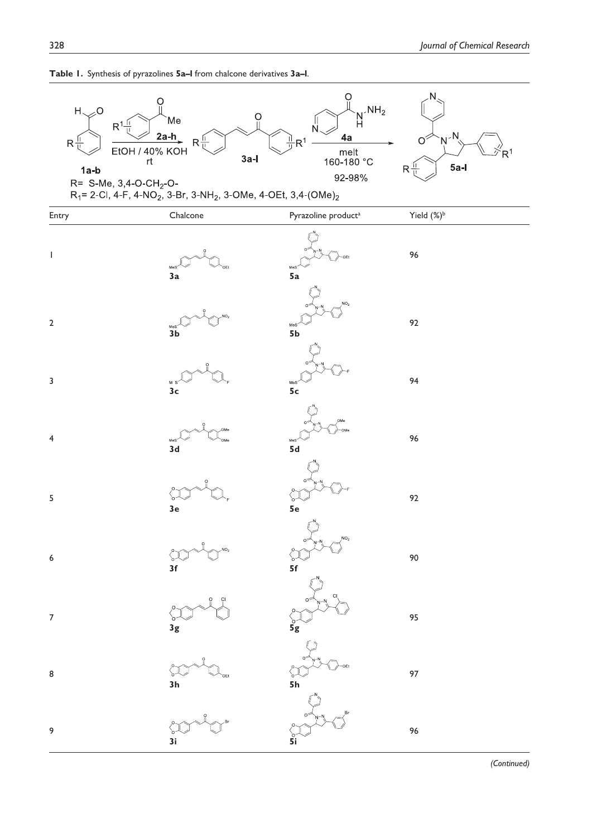

**Table 1.** Synthesis of pyrazolines **5a–l** from chalcone derivatives **3a–l**.

 *(Continued)*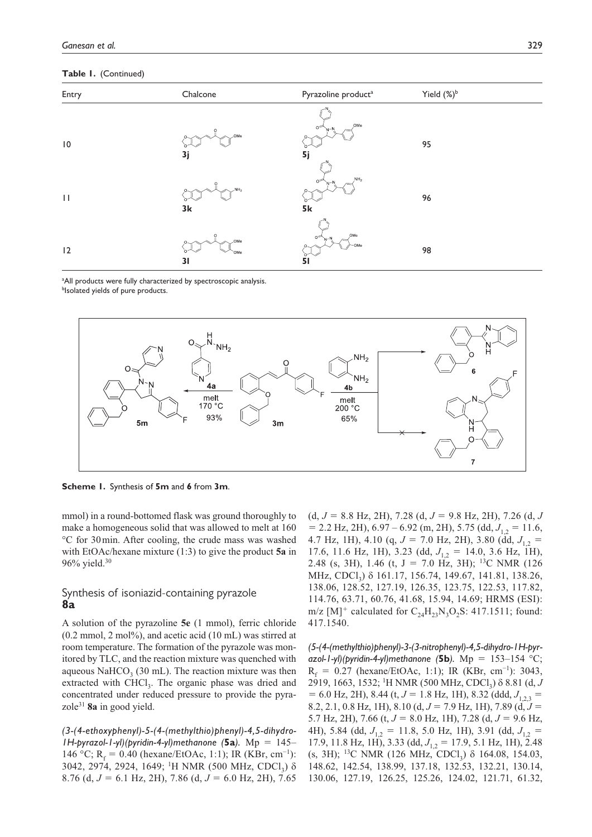**Table 1.** (Continued)

| Entry        | Chalcone                     | Pyrazoline product <sup>a</sup>  | Yield $(\%)^b$ |
|--------------|------------------------------|----------------------------------|----------------|
| $\vert 0$    | $\circ$<br>.OMe<br>3j        | OMe<br>0 <sup>5</sup><br>5j      | 95             |
| $\mathbf{H}$ | $\Omega$<br>$NH_2$<br>3k     | $\,$ NH <sub>2</sub><br>ΟF<br>5k | 96             |
| 12           | $\circ$<br>OMe<br>`OMe<br>31 | OMe<br>$\circ$<br>OMe<br>51      | 98             |

<sup>a</sup>All products were fully characterized by spectroscopic analysis. blsolated yields of pure products.



**Scheme 1.** Synthesis of **5m** and **6** from **3m**.

mmol) in a round-bottomed flask was ground thoroughly to make a homogeneous solid that was allowed to melt at 160 °C for 30 min. After cooling, the crude mass was washed with EtOAc/hexane mixture (1:3) to give the product **5a** in 96% yield.<sup>30</sup>

# Synthesis of isoniazid-containing pyrazole **8a**

A solution of the pyrazoline **5e** (1 mmol), ferric chloride  $(0.2 \text{ mmol}, 2 \text{ mol}),$  and acetic acid  $(10 \text{ mL})$  was stirred at room temperature. The formation of the pyrazole was monitored by TLC, and the reaction mixture was quenched with aqueous  $\text{NaHCO}_3$  (30 mL). The reaction mixture was then extracted with CHCl<sub>3</sub>. The organic phase was dried and concentrated under reduced pressure to provide the pyrazole<sup>31</sup> **8a** in good yield.

*(3-(4-ethoxyphenyl)-5-(4-(methylthio)phenyl)-4,5-dihydro-1H-pyrazol-1-yl)(pyridin-4-yl)methanone (***5a***).* Mp = 145– 146 °C; R<sub>f</sub> = 0.40 (hexane/EtOAc, 1:1); IR (KBr, cm<sup>-1</sup>): 3042, 2974, 2924, 1649; <sup>1</sup>H NMR (500 MHz, CDCl<sub>3</sub>) δ 8.76 (d, *J* = 6.1 Hz, 2H), 7.86 (d, *J* = 6.0 Hz, 2H), 7.65

(d, *J* = 8.8 Hz, 2H), 7.28 (d, *J* = 9.8 Hz, 2H), 7.26 (d, *J*  $= 2.2$  Hz, 2H),  $6.97 - 6.92$  (m, 2H),  $5.75$  (dd,  $J_{12} = 11.6$ , 4.7 Hz, 1H), 4.10 (q,  $J = 7.0$  Hz, 2H), 3.80 (dd,  $J_{12} =$ 17.6, 11.6 Hz, 1H), 3.23 (dd,  $J_{1,2} = 14.0$ , 3.6 Hz, 1H), 2.48 (s, 3H), 1.46 (t, J = 7.0 Hz, 3H); <sup>13</sup>C NMR (126 MHz, CDCl<sub>3</sub>) δ 161.17, 156.74, 149.67, 141.81, 138.26, 138.06, 128.52, 127.19, 126.35, 123.75, 122.53, 117.82, 114.76, 63.71, 60.76, 41.68, 15.94, 14.69; HRMS (ESI): m/z [M]<sup>+</sup> calculated for  $C_{24}H_{23}N_3O_2S$ : 417.1511; found: 417.1540.

*(5-(4-(methylthio)phenyl)-3-(3-nitrophenyl)-4,5-dihydro-1H-pyrazol-1-yl)(pyridin-4-yl)methanone (***5b***).* Mp = 153–154 °C;  $R_f = 0.27$  (hexane/EtOAc, 1:1); IR (KBr, cm<sup>-1</sup>): 3043, 2919, 1663, 1532; <sup>1</sup>H NMR (500 MHz, CDCl<sub>3</sub>) δ 8.81 (d, *J*  $= 6.0$  Hz, 2H), 8.44 (t,  $J = 1.8$  Hz, 1H), 8.32 (ddd,  $J_{123} =$ 8.2, 2.1, 0.8 Hz, 1H), 8.10 (d, *J* = 7.9 Hz, 1H), 7.89 (d, *J* = 5.7 Hz, 2H), 7.66 (t, *J* = 8.0 Hz, 1H), 7.28 (d, *J* = 9.6 Hz, 4H), 5.84 (dd,  $J_{1,2} = 11.8$ , 5.0 Hz, 1H), 3.91 (dd,  $J_{1,2} =$ 17.9, 11.8 Hz, 1H), 3.33 (dd,  $J_{1,2} = 17.9$ , 5.1 Hz, 1H), 2.48 (s, 3H); <sup>13</sup>C NMR (126 MHz, CDCl<sub>3</sub>)  $\delta$  164.08, 154.03, 148.62, 142.54, 138.99, 137.18, 132.53, 132.21, 130.14, 130.06, 127.19, 126.25, 125.26, 124.02, 121.71, 61.32,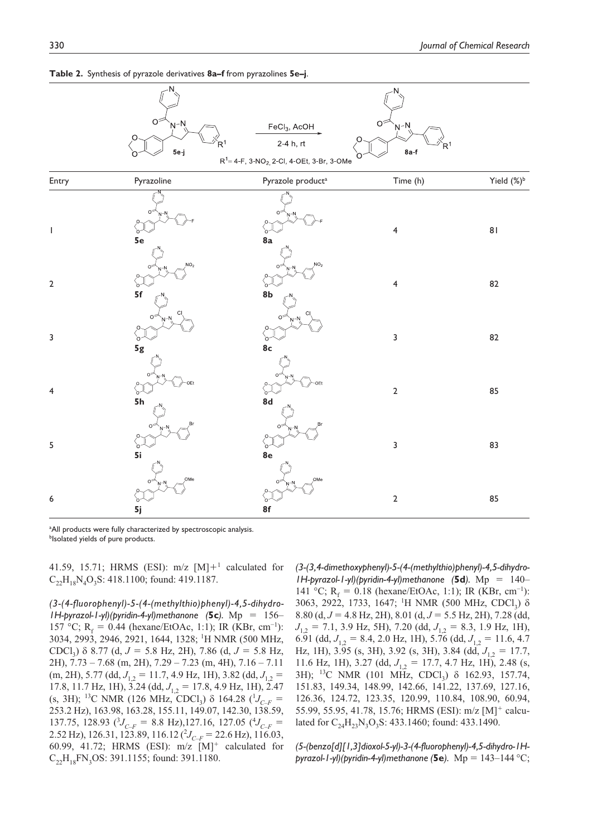

**Table 2.** Synthesis of pyrazole derivatives **8a–f** from pyrazolines **5e–j**.

<sup>a</sup>All products were fully characterized by spectroscopic analysis. **blsolated yields of pure products.** 

41.59, 15.71; HRMS (ESI):  $m/z$  [M] $+$ <sup>1</sup> calculated for  $C_{22}H_{18}N_4O_3S$ : 418.1100; found: 419.1187.

*(3-(4-fluorophenyl)-5-(4-(methylthio)phenyl)-4,5-dihydro-1H-pyrazol-1-yl)(pyridin-4-yl)methanone (***5c***).* Mp = 156– 157 °C;  $R_f = 0.44$  (hexane/EtOAc, 1:1); IR (KBr, cm<sup>-1</sup>): 3034, 2993, 2946, 2921, 1644, 1328; <sup>1</sup>H NMR (500 MHz, CDCl<sup>3</sup> ) δ 8.77 (d, *J* = 5.8 Hz, 2H), 7.86 (d, *J* = 5.8 Hz, 2H), 7.73 – 7.68 (m, 2H), 7.29 – 7.23 (m, 4H), 7.16 – 7.11 (m, 2H), 5.77 (dd,  $J_{1,2} = 11.7$ , 4.9 Hz, 1H), 3.82 (dd,  $J_{1,2} =$ 17.8, 11.7 Hz, 1H), 3.24 (dd,  $J_{1,2} = 17.8$ , 4.9 Hz, 1H), 2.47 (s, 3H); <sup>13</sup>C NMR (126 MHz, CDCl<sub>3</sub>)  $\delta$  164.28 (<sup>1</sup>J<sub>C–F</sub> = 253.2 Hz), 163.98, 163.28, 155.11, 149.07, 142.30, 138.59, 137.75, 128.93  $({}^{3}J_{C-F} = 8.8 \text{ Hz})$ , 127.16, 127.05  $({}^{4}J_{C-F} =$ 2.52 Hz), 126.31, 123.89, 116.12 ( $\mathcal{Y}_{C-F}$  = 22.6 Hz), 116.03, 60.99, 41.72; HRMS (ESI):  $m/z$   $[M]$ <sup>+</sup> calculated for  $C_{22}H_{18}FN_3OS: 391.1155$ ; found: 391.1180.

*(3-(3,4-dimethoxyphenyl)-5-(4-(methylthio)phenyl)-4,5-dihydro-1H-pyrazol-1-yl)(pyridin-4-yl)methanone (***5d***).* Mp = 140– 141 °C; R<sub>f</sub> = 0.18 (hexane/EtOAc, 1:1); IR (KBr, cm<sup>-1</sup>): 3063, 2922, 1733, 1647; <sup>1</sup>H NMR (500 MHz, CDCl<sub>3</sub>) δ 8.80 (d, *J* = 4.8 Hz, 2H), 8.01 (d, *J* = 5.5 Hz, 2H), 7.28 (dd, *J*<sub>1,2</sub> = 7.1, 3.9 Hz, 5H), 7.20 (dd, *J*<sub>1,2</sub> = 8.3, 1.9 Hz, 1H), 6.91 (dd,  $J_{1,2} = 8.4$ , 2.0 Hz, 1H), 5.76 (dd,  $J_{1,2} = 11.6$ , 4.7 Hz, 1H), 3.95 (s, 3H), 3.92 (s, 3H), 3.84 (dd,  $J_{1,2} = 17.7$ , 11.6 Hz, 1H), 3.27 (dd,  $J_{1,2} = 17.7, 4.7$  Hz, 1H), 2.48 (s, 3H); <sup>13</sup>C NMR (101 MHz, CDCl<sub>3</sub>) δ 162.93, 157.74, 151.83, 149.34, 148.99, 142.66, 141.22, 137.69, 127.16, 126.36, 124.72, 123.35, 120.99, 110.84, 108.90, 60.94, 55.99, 55.95, 41.78, 15.76; HRMS (ESI): m/z [M]<sup>+</sup> calculated for  $C_{24}H_{23}N_3O_3S$ : 433.1460; found: 433.1490.

*(5-(benzo[d][1,3]dioxol-5-yl)-3-(4-fluorophenyl)-4,5-dihydro-1Hpyrazol-1-yl)(pyridin-4-yl)methanone (***5e***).* Mp = 143–144 °C;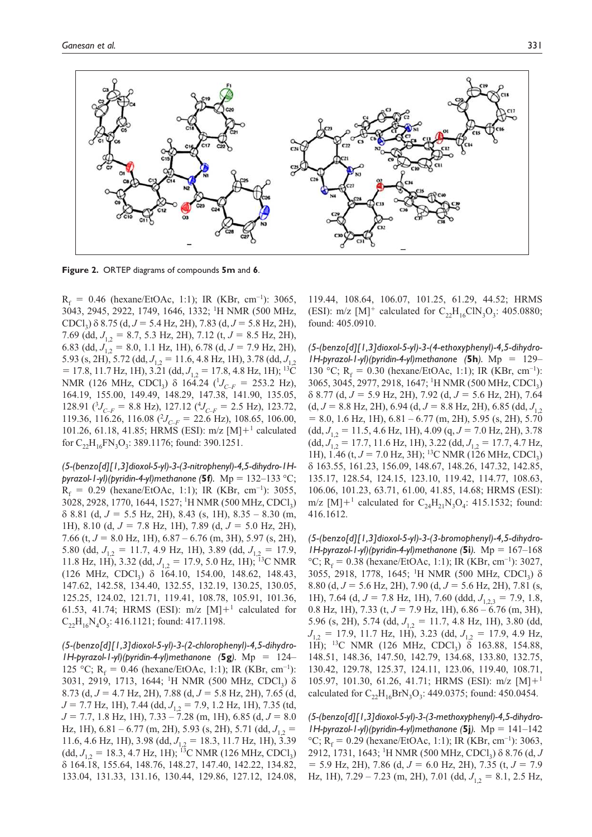

**Figure 2.** ORTEP diagrams of compounds **5m** and **6**.

 $R_f = 0.46$  (hexane/EtOAc, 1:1); IR (KBr, cm<sup>-1</sup>): 3065, 3043, 2945, 2922, 1749, 1646, 1332; <sup>1</sup>H NMR (500 MHz, CDCl<sup>3</sup> ) δ 8.75 (d, *J* = 5.4 Hz, 2H), 7.83 (d, *J* = 5.8 Hz, 2H), 7.69 (dd, *J*1,2 <sup>=</sup> 8.7, 5.3 Hz, 2H), 7.12 (t, *<sup>J</sup>* <sup>=</sup> 8.5 Hz, 2H), 6.83 (dd,  $J_{1,2} = 8.0$ , 1.1 Hz, 1H), 6.78 (d,  $J = 7.9$  Hz, 2H), 5.93 (s, 2H), 5.72 (dd,  $J_{1,2} = 11.6$ , 4.8 Hz, 1H), 3.78 (dd,  $J_{1,2}$ )  $= 17.8, 11.7 \text{ Hz}, 1H$ ),  $3.\overline{21}$  (dd,  $J_{1.2} = 17.8, 4.8 \text{ Hz}, 1H$ ); <sup>13</sup>C NMR (126 MHz, CDCl<sub>3</sub>)  $\delta$  164.24 (<sup>1</sup>J<sub>C–F</sub> = 253.2 Hz), 164.19, 155.00, 149.49, 148.29, 147.38, 141.90, 135.05, 128.91 ( ${}^{3}J_{C-F}$  = 8.8 Hz), 127.12 ( ${}^{4}J_{C-F}$  = 2.5 Hz), 123.72, 119.36, 116.26, 116.08  $(^{2}J_{C-F} = 22.6$  Hz), 108.65, 106.00, 101.26, 61.18, 41.85; HRMS (ESI): m/z [M]+<sup>1</sup> calculated for  $C_{22}H_{16}FN_3O_3$ : 389.1176; found: 390.1251.

*(5-(benzo[d][1,3]dioxol-5-yl)-3-(3-nitrophenyl)-4,5-dihydro-1Hpyrazol-1-yl)(pyridin-4-yl)methanone (***5f***).* Mp = 132–133 °C;  $R_f = 0.29$  (hexane/EtOAc, 1:1); IR (KBr, cm<sup>-1</sup>): 3055, 3028, 2928, 1770, 1644, 1527; <sup>1</sup>H NMR (500 MHz, CDCl<sub>3</sub>) δ 8.81 (d, *J* = 5.5 Hz, 2H), 8.43 (s, 1H), 8.35 – 8.30 (m, 1H), 8.10 (d, *J* = 7.8 Hz, 1H), 7.89 (d, *J* = 5.0 Hz, 2H), 7.66 (t, *J* = 8.0 Hz, 1H), 6.87 – 6.76 (m, 3H), 5.97 (s, 2H), 5.80 (dd,  $J_{12} = 11.7$ , 4.9 Hz, 1H), 3.89 (dd,  $J_{12} = 17.9$ , 11.8 Hz, 1H), 3.32 (dd,  $J_{12} = 17.9$ , 5.0 Hz, 1H); <sup>13</sup>C NMR  $(126 \text{ MHz}, \text{CDCl}_3)$   $\delta$  164.10, 154.00, 148.62, 148.43, 147.62, 142.58, 134.40, 132.55, 132.19, 130.25, 130.05, 125.25, 124.02, 121.71, 119.41, 108.78, 105.91, 101.36, 61.53, 41.74; HRMS (ESI):  $m/z$  [M] $+$ <sup>1</sup> calculated for  $C_{22}H_{16}N_4O_5$ : 416.1121; found: 417.1198.

*(5-(benzo[d][1,3]dioxol-5-yl)-3-(2-chlorophenyl)-4,5-dihydro-1H-pyrazol-1-yl)(pyridin-4-yl)methanone (***5g***).* Mp = 124– 125 °C;  $R_f = 0.46$  (hexane/EtOAc, 1:1); IR (KBr, cm<sup>-1</sup>): 3031, 2919, 1713, 1644; <sup>1</sup>H NMR (500 MHz, CDCl<sub>3</sub>) δ 8.73 (d, *J* = 4.7 Hz, 2H), 7.88 (d, *J* = 5.8 Hz, 2H), 7.65 (d, *J* = 7.7 Hz, 1H), 7.44 (dd, *J*<sub>1,2</sub> = 7.9, 1.2 Hz, 1H), 7.35 (td, *J* = 7.7, 1.8 Hz, 1H), 7.33 – 7.28 (m, 1H), 6.85 (d, *J* = 8.0 Hz, 1H),  $6.81 - 6.77$  (m, 2H),  $5.93$  (s, 2H),  $5.71$  (dd,  $J_{12} =$ 11.6, 4.6 Hz, 1H), 3.98 (dd,  $J_1$ , = 18.3, 11.7 Hz, 1H), 3.39  $(dd, J_{1,2} = 18.3, 4.7 \text{ Hz}, 1\text{H}; \overline{13} \text{C} \text{ NMR} (126 \text{ MHz}, \text{CDCl}_3)$ δ 164.18, 155.64, 148.76, 148.27, 147.40, 142.22, 134.82, 133.04, 131.33, 131.16, 130.44, 129.86, 127.12, 124.08,

119.44, 108.64, 106.07, 101.25, 61.29, 44.52; HRMS (ESI): m/z [M]<sup>+</sup> calculated for  $C_{22}H_{16}CIN_{3}O_{3}$ : 405.0880; found: 405.0910.

*(5-(benzo[d][1,3]dioxol-5-yl)-3-(4-ethoxyphenyl)-4,5-dihydro-1H-pyrazol-1-yl)(pyridin-4-yl)methanone (***5h***).* Mp = 129– 130 °C;  $R_f = 0.30$  (hexane/EtOAc, 1:1); IR (KBr, cm<sup>-1</sup>): 3065, 3045, 2977, 2918, 1647; <sup>1</sup>H NMR (500 MHz, CDCl<sub>3</sub>) δ 8.77 (d, *J* = 5.9 Hz, 2H), 7.92 (d, *J* = 5.6 Hz, 2H), 7.64  $(d, J = 8.8 \text{ Hz}, 2\text{H}), 6.94 (d, J = 8.8 \text{ Hz}, 2\text{H}), 6.85 (dd, J<sub>1.2</sub>)$  $= 8.0, 1.6$  Hz, 1H),  $6.81 - 6.77$  (m, 2H),  $5.95$  (s, 2H),  $5.70$  $(dd, J_{12} = 11.5, 4.6 \text{ Hz}, 1\text{H}$ ), 4.09 (q,  $J = 7.0 \text{ Hz}, 2\text{H}$ ), 3.78  $(dd, J_{12} = 17.7, 11.6 \text{ Hz}, 1\text{H}$ ), 3.22  $(dd, J_{12} = 17.7, 4.7 \text{ Hz}$ , 1H), 1.46 (t,  $J = 7.0$  Hz, 3H); <sup>13</sup>C NMR (126 MHz, CDCl<sub>3</sub>) δ 163.55, 161.23, 156.09, 148.67, 148.26, 147.32, 142.85, 135.17, 128.54, 124.15, 123.10, 119.42, 114.77, 108.63, 106.06, 101.23, 63.71, 61.00, 41.85, 14.68; HRMS (ESI): m/z [M]+<sup>1</sup> calculated for  $C_{24}H_{21}N_3O_4$ : 415.1532; found: 416.1612.

*(5-(benzo[d][1,3]dioxol-5-yl)-3-(3-bromophenyl)-4,5-dihydro-1H-pyrazol-1-yl)(pyridin-4-yl)methanone (***5i***).* Mp = 167–168 °C; R<sub>c</sub> = 0.38 (hexane/EtOAc, 1:1); IR (KBr, cm<sup>-1</sup>): 3027, 3055, 2918, 1778, 1645; <sup>1</sup>H NMR (500 MHz, CDCl<sub>3</sub>) δ 8.80 (d, *J* = 5.6 Hz, 2H), 7.90 (d, *J* = 5.6 Hz, 2H), 7.81 (s, 1H), 7.64 (d,  $J = 7.8$  Hz, 1H), 7.60 (ddd,  $J_{1,2,3} = 7.9$ , 1.8, 0.8 Hz, 1H), 7.33 (t, *J* = 7.9 Hz, 1H), 6.86 – 6.76 (m, 3H), 5.96 (s, 2H), 5.74 (dd,  $J_{12} = 11.7$ , 4.8 Hz, 1H), 3.80 (dd,  $J_{12}$  = 17.9, 11.7 Hz, 1H), 3.23 (dd,  $J_{12}$  = 17.9, 4.9 Hz, 1H); <sup>13</sup>C NMR (126 MHz, CDCl<sub>3</sub>)  $\delta$  163.88, 154.88, 148.51, 148.36, 147.50, 142.79, 134.68, 133.80, 132.75, 130.42, 129.78, 125.37, 124.11, 123.06, 119.40, 108.71, 105.97, 101.30, 61.26, 41.71; HRMS (ESI):  $m/z$  [M]+<sup>1</sup> calculated for  $C_{22}H_{16}BrN_3O_3$ : 449.0375; found: 450.0454.

*(5-(benzo[d][1,3]dioxol-5-yl)-3-(3-methoxyphenyl)-4,5-dihydro-1H-pyrazol-1-yl)(pyridin-4-yl)methanone (***5j***).* Mp = 141–142 °C; R<sub>f</sub> = 0.29 (hexane/EtOAc, 1:1); IR (KBr, cm<sup>-1</sup>): 3063, 2912, 1731, 1643; <sup>1</sup>H NMR (500 MHz, CDCl<sub>3</sub>) δ 8.76 (d, *J* = 5.9 Hz, 2H), 7.86 (d, *J* = 6.0 Hz, 2H), 7.35 (t, *J* = 7.9 Hz, 1H),  $7.29 - 7.23$  (m, 2H),  $7.01$  (dd,  $J_{12} = 8.1, 2.5$  Hz,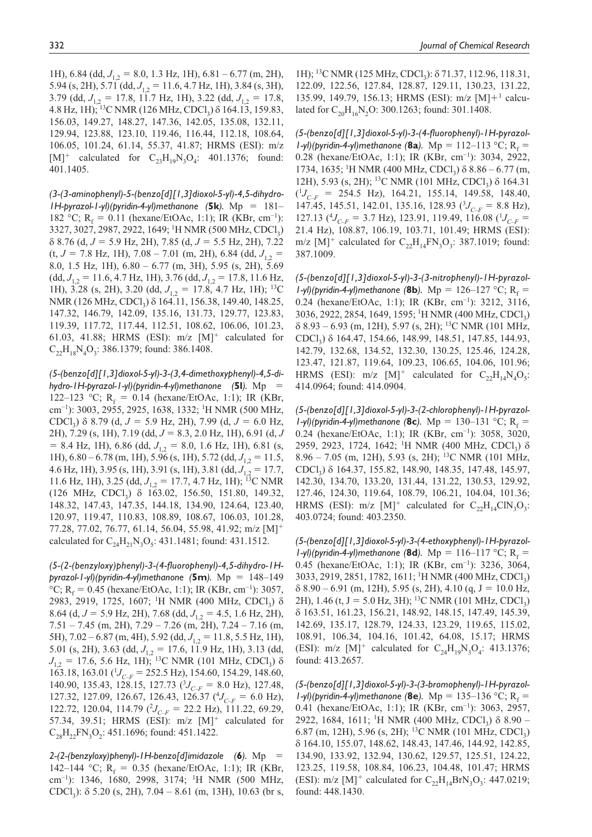1H), 6.84 (dd,  $J_{1,2} = 8.0$ , 1.3 Hz, 1H), 6.81 – 6.77 (m, 2H), 5.94 (s, 2H), 5.71 (dd,  $J_{1,2} = 11.6$ , 4.7 Hz, 1H), 3.84 (s, 3H), 3.79 (dd,  $J_{1,2} = 17.8$ , 11.7 Hz, 1H), 3.22 (dd,  $J_{1,2} = 17.8$ , 4.8 Hz, 1H); <sup>13</sup>C NMR (126 MHz, CDCl<sub>3</sub>) δ 164.13, 159.83, 156.03, 149.27, 148.27, 147.36, 142.05, 135.08, 132.11, 129.94, 123.88, 123.10, 119.46, 116.44, 112.18, 108.64, 106.05, 101.24, 61.14, 55.37, 41.87; HRMS (ESI): m/z  $[M]^+$  calculated for  $C_{23}H_{19}N_3O_4$ : 401.1376; found: 401.1405.

*(3-(3-aminophenyl)-5-(benzo[d][1,3]dioxol-5-yl)-4,5-dihydro-1H-pyrazol-1-yl)(pyridin-4-yl)methanone (***5k***).* Mp = 181– 182 °C; R<sub>f</sub> = 0.11 (hexane/EtOAc, 1:1); IR (KBr, cm<sup>-1</sup>): 3327, 3027, 2987, 2922, 1649; <sup>1</sup>H NMR (500 MHz, CDCl<sub>3</sub>) δ 8.76 (d, *J* = 5.9 Hz, 2H), 7.85 (d, *J* = 5.5 Hz, 2H), 7.22  $(t, J = 7.8 \text{ Hz}, 1\text{H}), 7.08 - 7.01 \text{ (m, 2H)}, 6.84 \text{ (dd, } J_{1,2} =$ 8.0, 1.5 Hz, 1H), 6.80 – 6.77 (m, 3H), 5.95 (s, 2H), 5.69  $(dd, J_{1,2} = 11.6, 4.7 \text{ Hz}, 1\text{H}$ ), 3.76  $(dd, J_{1,2} = 17.8, 11.6 \text{ Hz}$ , 1H), 3.28 (s, 2H), 3.20 (dd,  $J_{1,2} = 17.8$ , 4.7 Hz, 1H); <sup>13</sup>C NMR (126 MHz, CDCl<sub>3</sub>) δ 164.11, 156.38, 149.40, 148.25, 147.32, 146.79, 142.09, 135.16, 131.73, 129.77, 123.83, 119.39, 117.72, 117.44, 112.51, 108.62, 106.06, 101.23, 61.03, 41.88; HRMS (ESI):  $m/z$  [M]<sup>+</sup> calculated for  $C_{22}H_{18}N_4O_3$ : 386.1379; found: 386.1408.

*(5-(benzo[d][1,3]dioxol-5-yl)-3-(3,4-dimethoxyphenyl)-4,5-dihydro-1H-pyrazol-1-yl)(pyridin-4-yl)methanone (***5l***).* Mp = 122–123 °C;  $R_f = 0.14$  (hexane/EtOAc, 1:1); IR (KBr, cm<sup>-1</sup>): 3003, 2955, 2925, 1638, 1332; <sup>1</sup>H NMR (500 MHz, CDCl<sup>3</sup> ) δ 8.79 (d, *J* = 5.9 Hz, 2H), 7.99 (d, *J* = 6.0 Hz, 2H), 7.29 (s, 1H), 7.19 (dd, *J* = 8.3, 2.0 Hz, 1H), 6.91 (d, *J*  $= 8.4$  Hz, 1H), 6.86 (dd,  $J_{1,2} = 8.0$ , 1.6 Hz, 1H), 6.81 (s, 1H), 6.80 – 6.78 (m, 1H), 5.96 (s, 1H), 5.72 (dd,  $J_{1,2} = 11.5$ , 4.6 Hz, 1H), 3.95 (s, 1H), 3.91 (s, 1H), 3.81 (dd,  $J_{1,2} = 17.7$ , 11.6 Hz, 1H), 3.25 (dd,  $J_{1,2} = 17.7, 4.7$  Hz, 1H); <sup>13</sup>C NMR (126 MHz, CDCl<sup>3</sup> ) δ 163.02, 156.50, 151.80, 149.32, 148.32, 147.43, 147.35, 144.18, 134.90, 124.64, 123.40, 120.97, 119.47, 110.83, 108.89, 108.67, 106.03, 101.28, 77.28, 77.02, 76.77, 61.14, 56.04, 55.98, 41.92; m/z [M]<sup>+</sup> calculated for  $C_{24}H_{21}N_3O_5$ : 431.1481; found: 431.1512.

*(5-(2-(benzyloxy)phenyl)-3-(4-fluorophenyl)-4,5-dihydro-1Hpyrazol-1-yl)(pyridin-4-yl)methanone (***5m***).* Mp = 148–149 °C; R<sub>f</sub> = 0.45 (hexane/EtOAc, 1:1); IR (KBr, cm<sup>-1</sup>): 3057, 2983, 2919, 1725, 1607; <sup>1</sup>H NMR (400 MHz, CDCl<sub>3</sub>) δ 8.64 (d, J = 5.9 Hz, 2H), 7.68 (dd, J<sub>12</sub> = 4.5, 1.6 Hz, 2H), 7.51 – 7.45 (m, 2H), 7.29 – 7.26 (m, 2H), 7.24 – 7.16 (m, 5H), 7.02 – 6.87 (m, 4H), 5.92 (dd,  $J_{12} = 11.8$ , 5.5 Hz, 1H), 5.01 (s, 2H), 3.63 (dd,  $J_{1,2} = 17.6$ , 11.9 Hz, 1H), 3.13 (dd,  $J_{1,2}$  = 17.6, 5.6 Hz, 1H); <sup>13</sup>C NMR (101 MHz, CDCl<sub>3</sub>) δ  $163.18$ , 163.01 ( $^1J_{C-F}$  = 252.5 Hz), 154.60, 154.29, 148.60, 140.90, 135.43, 128.15, 127.73 (<sup>3</sup> *<sup>J</sup>C–F* <sup>=</sup> 8.0 Hz), 127.48, 127.32, 127.09, 126.67, 126.43, 126.37 ( $^{4}J_{C-F}$  = 6.0 Hz), 122.72, 120.04, 114.79  $(^{2}J_{C-F} = 22.2 \text{ Hz})$ , 111.22, 69.29, 57.34, 39.51; HRMS (ESI):  $m/z$   $[M]^+$  calculated for  $C_{28}H_{22}FN_{3}O_{2}$ : 451.1696; found: 451.1422.

*2-(2-(benzyloxy)phenyl)-1H-benzo[d]imidazole (***6***).* Mp = 142–144 °C;  $R_f = 0.35$  (hexane/EtOAc, 1:1); IR (KBr, cm−1): 1346, 1680, 2998, 3174; <sup>1</sup>H NMR (500 MHz, CDCl<sub>3</sub>):  $\delta$  5.20 (s, 2H), 7.04 – 8.61 (m, 13H), 10.63 (br s,

1H); <sup>13</sup>C NMR (125 MHz, CDCl<sub>3</sub>): δ 71.37, 112.96, 118.31, 122.09, 122.56, 127.84, 128.87, 129.11, 130.23, 131.22, 135.99, 149.79, 156.13; HRMS (ESI): m/z [M]+<sup>1</sup> calculated for  $C_{20}H_{16}N_2O$ : 300.1263; found: 301.1408.

*(5-(benzo[d][1,3]dioxol-5-yl)-3-(4-fluorophenyl)-1H-pyrazol-1-yl)(pyridin-4-yl)methanone (8a).*  $Mp = 112-113 °C$ ;  $R_f =$ 0.28 (hexane/EtOAc, 1:1); IR (KBr, cm−1): 3034, 2922, 1734, 1635; <sup>1</sup>H NMR (400 MHz, CDCl<sub>3</sub>) δ 8.86 – 6.77 (m, 12H), 5.93 (s, 2H); <sup>13</sup>C NMR (101 MHz, CDCl<sub>3</sub>) δ 164.31  $(^{1}J_{C-F}$  = 254.5 Hz), 164.21, 155.14, 149.58, 148.40, 147.45, 145.51, 142.01, 135.16, 128.93 (<sup>3</sup> *<sup>J</sup>C–F* <sup>=</sup> 8.8 Hz), 127.13 ( $^{4}J_{C-F}$  = 3.7 Hz), 123.91, 119.49, 116.08 ( $^{1}J_{C-F}$  = 21.4 Hz), 108.87, 106.19, 103.71, 101.49; HRMS (ESI): m/z  $[M]^+$  calculated for  $C_{22}H_{14}FN_3O_3$ : 387.1019; found: 387.1009.

*(5-(benzo[d][1,3]dioxol-5-yl)-3-(3-nitrophenyl)-1H-pyrazol-1-yl)(pyridin-4-yl)methanone* (8b).  $Mp = 126-127$  °C;  $R_f =$ 0.24 (hexane/EtOAc, 1:1); IR (KBr, cm−1): 3212, 3116, 3036, 2922, 2854, 1649, 1595; <sup>1</sup>H NMR (400 MHz, CDCl<sub>3</sub>) δ 8.93 – 6.93 (m, 12H), 5.97 (s, 2H); <sup>13</sup>C NMR (101 MHz, CDCl<sub>3</sub>) δ 164.47, 154.66, 148.99, 148.51, 147.85, 144.93, 142.79, 132.68, 134.52, 132.30, 130.25, 125.46, 124.28, 123.47, 121.87, 119.64, 109.23, 106.65, 104.06, 101.96; HRMS (ESI):  $m/z$  [M]<sup>+</sup> calculated for  $C_{22}H_{14}N_4O_5$ : 414.0964; found: 414.0904.

*(5-(benzo[d][1,3]dioxol-5-yl)-3-(2-chlorophenyl)-1H-pyrazol-1-yl)(pyridin-4-yl)methanone* (8c).  $Mp = 130-131 °C$ ;  $R_f =$ 0.24 (hexane/EtOAc, 1:1); IR (KBr, cm−1): 3058, 3020, 2959, 2923, 1724, 1642; <sup>1</sup>H NMR (400 MHz, CDCl<sub>3</sub>) δ 8.96 – 7.05 (m, 12H), 5.93 (s, 2H); <sup>13</sup>C NMR (101 MHz, CDCl<sub>3</sub>) δ 164.37, 155.82, 148.90, 148.35, 147.48, 145.97, 142.30, 134.70, 133.20, 131.44, 131.22, 130.53, 129.92, 127.46, 124.30, 119.64, 108.79, 106.21, 104.04, 101.36; HRMS (ESI):  $m/z$  [M]<sup>+</sup> calculated for  $C_{22}H_{14}CIN_3O_3$ : 403.0724; found: 403.2350.

*(5-(benzo[d][1,3]dioxol-5-yl)-3-(4-ethoxyphenyl)-1H-pyrazol-1-yl)(pyridin-4-yl)methanone* (8d).  $Mp = 116-117 °C$ ;  $R_e =$ 0.45 (hexane/EtOAc, 1:1); IR (KBr, cm−1): 3236, 3064, 3033, 2919, 2851, 1782, 1611; <sup>1</sup>H NMR (400 MHz, CDCl<sub>3</sub>)  $\delta$  8.90 – 6.91 (m, 12H), 5.95 (s, 2H), 4.10 (g, J = 10.0 Hz, 2H), 1.46 (t, J = 5.0 Hz, 3H); <sup>13</sup>C NMR (101 MHz, CDCl<sub>3</sub>) δ 163.51, 161.23, 156.21, 148.92, 148.15, 147.49, 145.39, 142.69, 135.17, 128.79, 124.33, 123.29, 119.65, 115.02, 108.91, 106.34, 104.16, 101.42, 64.08, 15.17; HRMS (ESI): m/z [M]<sup>+</sup> calculated for  $C_{24}H_{19}N_3O_4$ : 413.1376; found: 413.2657.

*(5-(benzo[d][1,3]dioxol-5-yl)-3-(3-bromophenyl)-1H-pyrazol-1-yl)(pyridin-4-yl)methanone (8e).*  $Mp = 135-136 °C$ ;  $R_f =$ 0.41 (hexane/EtOAc, 1:1); IR (KBr, cm−1): 3063, 2957, 2922, 1684, 1611; <sup>1</sup>H NMR (400 MHz, CDCl<sub>3</sub>) δ 8.90 – 6.87 (m, 12H), 5.96 (s, 2H); <sup>13</sup>C NMR (101 MHz, CDCl<sub>3</sub>) δ 164.10, 155.07, 148.62, 148.43, 147.46, 144.92, 142.85, 134.90, 133.92, 132.94, 130.62, 129.57, 125.51, 124.22, 123.25, 119.58, 108.84, 106.23, 104.48, 101.47; HRMS (ESI): m/z [M]<sup>+</sup> calculated for  $C_{22}H_{14}BrN_3O_3$ : 447.0219; found: 448.1430.